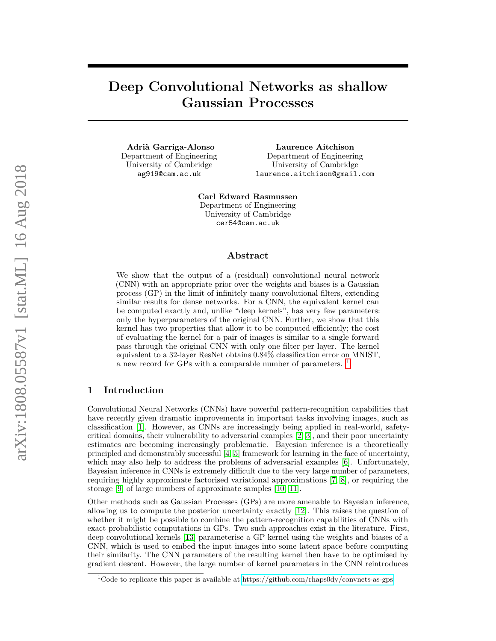# **Deep Convolutional Networks as shallow Gaussian Processes**

**Adrià Garriga-Alonso** Department of Engineering University of Cambridge ag919@cam.ac.uk

**Laurence Aitchison** Department of Engineering University of Cambridge laurence.aitchison@gmail.com

**Carl Edward Rasmussen** Department of Engineering University of Cambridge cer54@cam.ac.uk

### **Abstract**

We show that the output of a (residual) convolutional neural network (CNN) with an appropriate prior over the weights and biases is a Gaussian process (GP) in the limit of infinitely many convolutional filters, extending similar results for dense networks. For a CNN, the equivalent kernel can be computed exactly and, unlike "deep kernels", has very few parameters: only the hyperparameters of the original CNN. Further, we show that this kernel has two properties that allow it to be computed efficiently; the cost of evaluating the kernel for a pair of images is similar to a single forward pass through the original CNN with only one filter per layer. The kernel equivalent to a 32-layer ResNet obtains 0.84% classification error on MNIST, a new record for GPs with a comparable number of parameters. [1](#page-0-0)

## **1 Introduction**

Convolutional Neural Networks (CNNs) have powerful pattern-recognition capabilities that have recently given dramatic improvements in important tasks involving images, such as classification [\[1\]](#page-9-0). However, as CNNs are increasingly being applied in real-world, safetycritical domains, their vulnerability to adversarial examples [\[2,](#page-9-1) [3\]](#page-9-2), and their poor uncertainty estimates are becoming increasingly problematic. Bayesian inference is a theoretically principled and demonstrably successful [\[4,](#page-9-3) [5\]](#page-9-4) framework for learning in the face of uncertainty, which may also help to address the problems of adversarial examples [\[6\]](#page-9-5). Unfortunately, Bayesian inference in CNNs is extremely difficult due to the very large number of parameters, requiring highly approximate factorised variational approximations [\[7,](#page-9-6) [8\]](#page-9-7), or requiring the storage [\[9\]](#page-9-8) of large numbers of approximate samples [\[10,](#page-9-9) [11\]](#page-9-10).

Other methods such as Gaussian Processes (GPs) are more amenable to Bayesian inference, allowing us to compute the posterior uncertainty exactly [\[12\]](#page-9-11). This raises the question of whether it might be possible to combine the pattern-recognition capabilities of CNNs with exact probabilistic computations in GPs. Two such approaches exist in the literature. First, deep convolutional kernels [\[13\]](#page-10-0) parameterise a GP kernel using the weights and biases of a CNN, which is used to embed the input images into some latent space before computing their similarity. The CNN parameters of the resulting kernel then have to be optimised by gradient descent. However, the large number of kernel parameters in the CNN reintroduces

<span id="page-0-0"></span><sup>&</sup>lt;sup>1</sup>Code to replicate this paper is available at<https://github.com/rhaps0dy/convnets-as-gps>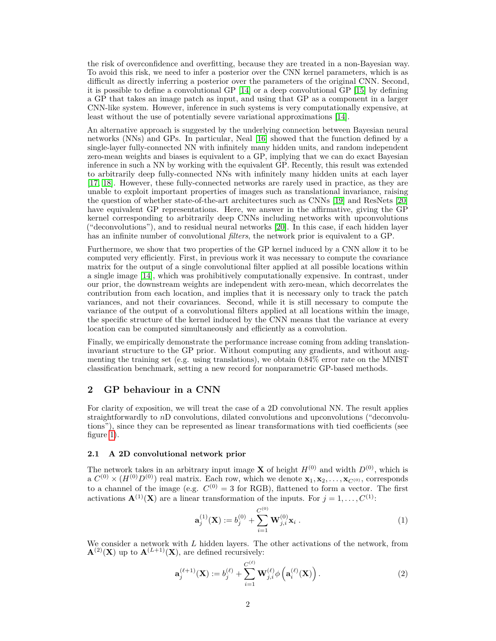the risk of overconfidence and overfitting, because they are treated in a non-Bayesian way. To avoid this risk, we need to infer a posterior over the CNN kernel parameters, which is as difficult as directly inferring a posterior over the parameters of the original CNN. Second, it is possible to define a convolutional GP [\[14\]](#page-10-1) or a deep convolutional GP [\[15\]](#page-10-2) by defining a GP that takes an image patch as input, and using that GP as a component in a larger CNN-like system. However, inference in such systems is very computationally expensive, at least without the use of potentially severe variational approximations [\[14\]](#page-10-1).

An alternative approach is suggested by the underlying connection between Bayesian neural networks (NNs) and GPs. In particular, Neal [\[16\]](#page-10-3) showed that the function defined by a single-layer fully-connected NN with infinitely many hidden units, and random independent zero-mean weights and biases is equivalent to a GP, implying that we can do exact Bayesian inference in such a NN by working with the equivalent GP. Recently, this result was extended to arbitrarily deep fully-connected NNs with infinitely many hidden units at each layer [\[17,](#page-10-4) [18\]](#page-10-5). However, these fully-connected networks are rarely used in practice, as they are unable to exploit important properties of images such as translational invariance, raising the question of whether state-of-the-art architectures such as CNNs [\[19\]](#page-10-6) and ResNets [\[20\]](#page-10-7) have equivalent GP representations. Here, we answer in the affirmative, giving the GP kernel corresponding to arbitrarily deep CNNs including networks with upconvolutions ("deconvolutions"), and to residual neural networks [\[20\]](#page-10-7). In this case, if each hidden layer has an infinite number of convolutional *filters*, the network prior is equivalent to a GP.

Furthermore, we show that two properties of the GP kernel induced by a CNN allow it to be computed very efficiently. First, in previous work it was necessary to compute the covariance matrix for the output of a single convolutional filter applied at all possible locations within a single image [\[14\]](#page-10-1), which was prohibitively computationally expensive. In contrast, under our prior, the downstream weights are independent with zero-mean, which decorrelates the contribution from each location, and implies that it is necessary only to track the patch variances, and not their covariances. Second, while it is still necessary to compute the variance of the output of a convolutional filters applied at all locations within the image, the specific structure of the kernel induced by the CNN means that the variance at every location can be computed simultaneously and efficiently as a convolution.

Finally, we empirically demonstrate the performance increase coming from adding translationinvariant structure to the GP prior. Without computing any gradients, and without augmenting the training set (e.g. using translations), we obtain 0.84% error rate on the MNIST classification benchmark, setting a new record for nonparametric GP-based methods.

# **2 GP behaviour in a CNN**

For clarity of exposition, we will treat the case of a 2D convolutional NN. The result applies straightforwardly to *n*D convolutions, dilated convolutions and upconvolutions ("deconvolutions"), since they can be represented as linear transformations with tied coefficients (see figure [1\)](#page-2-0).

### **2.1 A 2D convolutional network prior**

The network takes in an arbitrary input image **X** of height  $H^{(0)}$  and width  $D^{(0)}$ , which is  $a \ C^{(0)} \times (H^{(0)} D^{(0)})$  real matrix. Each row, which we denote  $\mathbf{x}_1, \mathbf{x}_2, \ldots, \mathbf{x}_{C^{(0)}},$  corresponds to a channel of the image (e.g.  $C^{(0)} = 3$  for RGB), flattened to form a vector. The first activations  $\mathbf{A}^{(1)}(\mathbf{X})$  are a linear transformation of the inputs. For  $j = 1, \ldots, C^{(1)}$ :

<span id="page-1-1"></span><span id="page-1-0"></span>
$$
\mathbf{a}_{j}^{(1)}(\mathbf{X}) := b_{j}^{(0)} + \sum_{i=1}^{C^{(0)}} \mathbf{W}_{j,i}^{(0)} \mathbf{x}_{i} .
$$
 (1)

We consider a network with *L* hidden layers. The other activations of the network, from  $\mathbf{A}^{(2)}(\mathbf{X})$  up to  $\mathbf{A}^{(L+1)}(\mathbf{X})$ , are defined recursively:

$$
\mathbf{a}_{j}^{(\ell+1)}(\mathbf{X}) := b_{j}^{(\ell)} + \sum_{i=1}^{C^{(\ell)}} \mathbf{W}_{j,i}^{(\ell)} \phi\left(\mathbf{a}_{i}^{(\ell)}(\mathbf{X})\right).
$$
 (2)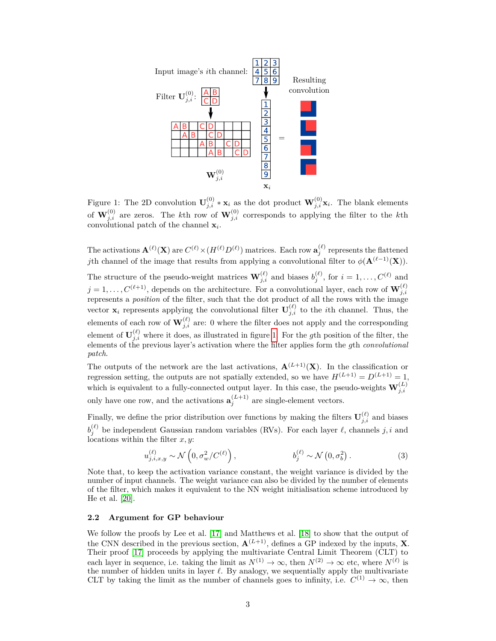

<span id="page-2-0"></span>Figure 1: The 2D convolution  $\mathbf{U}_{j,i}^{(0)} * \mathbf{x}_i$  as the dot product  $\mathbf{W}_{j,i}^{(0)} \mathbf{x}_i$ . The blank elements of  $\mathbf{W}_{j,i}^{(0)}$  are zeros. The *k*th row of  $\mathbf{W}_{j,i}^{(0)}$  corresponds to applying the filter to the *k*th convolutional patch of the channel **x***<sup>i</sup>* .

The activations  $\mathbf{A}^{(\ell)}(\mathbf{X})$  are  $C^{(\ell)} \times (H^{(\ell)} D^{(\ell)})$  matrices. Each row  $\mathbf{a}^{(\ell)}_j$  represents the flattened *j*th channel of the image that results from applying a convolutional filter to  $\phi(\mathbf{A}^{(\ell-1)}(\mathbf{X}))$ .

The structure of the pseudo-weight matrices  $\mathbf{W}_{j,i}^{(\ell)}$  and biases  $b_j^{(\ell)}$ , for  $i = 1, \ldots, C^{(\ell)}$  and  $j = 1, \ldots, C^{(\ell+1)}$ , depends on the architecture. For a convolutional layer, each row of  $\mathbf{W}_{j,i}^{(\ell)}$ represents a *position* of the filter, such that the dot product of all the rows with the image vector  $\mathbf{x}_i$  represents applying the convolutional filter  $\mathbf{U}_{j,i}^{(\ell)}$  to the *i*th channel. Thus, the elements of each row of  $\mathbf{W}_{j,i}^{(\ell)}$  are: 0 where the filter does not apply and the corresponding element of  $\mathbf{U}_{j,i}^{(\ell)}$  where it does, as illustrated in figure [1.](#page-2-0) For the *g*th position of the filter, the elements of the previous layer's activation where the filter applies form the *g*th *convolutional patch*.

The outputs of the network are the last activations,  $\mathbf{A}^{(L+1)}(\mathbf{X})$ . In the classification or regression setting, the outputs are not spatially extended, so we have  $H^{(L+1)} = D^{(L+1)} = 1$ , which is equivalent to a fully-connected output layer. In this case, the pseudo-weights  $\mathbf{W}_{j,i}^{(L)}$ only have one row, and the activations  $\mathbf{a}_{j}^{(L+1)}$  are single-element vectors.

Finally, we define the prior distribution over functions by making the filters  $\mathbf{U}_{j,i}^{(\ell)}$  and biases  $b_j^{(\ell)}$  be independent Gaussian random variables (RVs). For each layer  $\ell$ , channels *j*, *i* and locations within the filter *x, y*:

$$
u_{j,i,x,y}^{(\ell)} \sim \mathcal{N}\left(0, \sigma_w^2/C^{(\ell)}\right), \qquad b_j^{(\ell)} \sim \mathcal{N}\left(0, \sigma_b^2\right). \tag{3}
$$

Note that, to keep the activation variance constant, the weight variance is divided by the number of input channels. The weight variance can also be divided by the number of elements of the filter, which makes it equivalent to the NN weight initialisation scheme introduced by He et al. [\[20\]](#page-10-7).

#### <span id="page-2-1"></span>**2.2 Argument for GP behaviour**

We follow the proofs by Lee et al. [\[17\]](#page-10-4) and Matthews et al. [\[18\]](#page-10-5) to show that the output of the CNN described in the previous section,  $\mathbf{A}^{(L+1)}$ , defines a GP indexed by the inputs, **X**. Their proof [\[17\]](#page-10-4) proceeds by applying the multivariate Central Limit Theorem (CLT) to each layer in sequence, i.e. taking the limit as  $N^{(1)} \to \infty$ , then  $N^{(2)} \to \infty$  etc, where  $N^{(\ell)}$  is the number of hidden units in layer  $\ell$ . By analogy, we sequentially apply the multivariate CLT by taking the limit as the number of channels goes to infinity, i.e.  $C^{(1)} \to \infty$ , then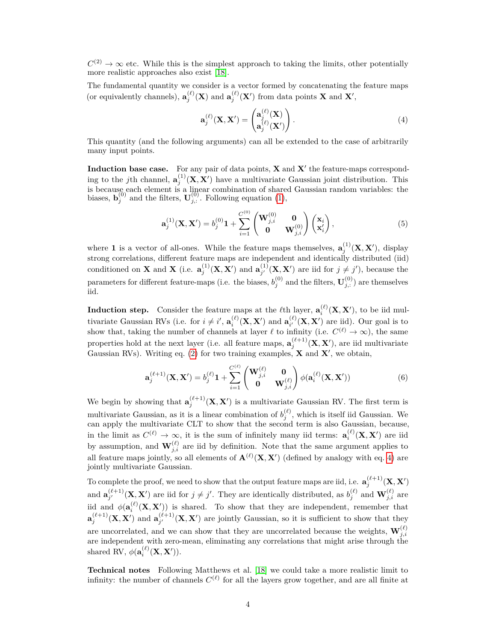$C^{(2)} \to \infty$  etc. While this is the simplest approach to taking the limits, other potentially more realistic approaches also exist [\[18\]](#page-10-5).

The fundamental quantity we consider is a vector formed by concatenating the feature maps (or equivalently channels),  $\mathbf{a}_{j}^{(\ell)}(\mathbf{X})$  and  $\mathbf{a}_{j}^{(\ell)}(\mathbf{X}')$  from data points **X** and **X**',

<span id="page-3-0"></span>
$$
\mathbf{a}_{j}^{(\ell)}(\mathbf{X}, \mathbf{X}') = \begin{pmatrix} \mathbf{a}_{j}^{(\ell)}(\mathbf{X}) \\ \mathbf{a}_{j}^{(\ell)}(\mathbf{X}') \end{pmatrix} . \tag{4}
$$

This quantity (and the following arguments) can all be extended to the case of arbitrarily many input points.

**Induction base case.** For any pair of data points,  $X$  and  $X'$  the feature-maps corresponding to the *j*th channel,  $\mathbf{a}_{j}^{(1)}(\mathbf{X}, \mathbf{X}')$  have a multivariate Gaussian joint distribution. This is because each element is a linear combination of shared Gaussian random variables: the biases,  $\mathbf{b}_{j}^{(0)}$  and the filters,  $\mathbf{U}_{j,:}^{(0)}$ . Following equation [\(1\)](#page-1-0),

$$
\mathbf{a}_{j}^{(1)}(\mathbf{X}, \mathbf{X}') = b_{j}^{(0)} \mathbf{1} + \sum_{i=1}^{C^{(0)}} \begin{pmatrix} \mathbf{W}_{j,i}^{(0)} & \mathbf{0} \\ \mathbf{0} & \mathbf{W}_{j,i}^{(0)} \end{pmatrix} \begin{pmatrix} \mathbf{x}_{i} \\ \mathbf{x}_{i}' \end{pmatrix},
$$
(5)

where **1** is a vector of all-ones. While the feature maps themselves,  $\mathbf{a}_{j}^{(1)}(\mathbf{X}, \mathbf{X}')$ , display strong correlations, different feature maps are independent and identically distributed (iid) conditioned on **X** and **X** (i.e.  $\mathbf{a}_{j}^{(1)}(\mathbf{X}, \mathbf{X}')$  and  $\mathbf{a}_{j'}^{(1)}$  $j'$ <sup>(1)</sup>(**X**, **X**<sup>'</sup>) are iid for  $j \neq j'$ ), because the parameters for different feature-maps (i.e. the biases,  $b_j^{(0)}$  and the filters,  $\mathbf{U}_{j,:}^{(0)}$ ) are themselves iid.

**Induction step.** Consider the feature maps at the  $\ell$ th layer,  $\mathbf{a}_i^{(\ell)}(\mathbf{X}, \mathbf{X}')$ , to be iid mul*i* tivariate Gaussian RVs (i.e. for  $i \neq i'$ ,  $\mathbf{a}_i^{(\ell)}(\mathbf{X}, \mathbf{X}')$  and  $\mathbf{a}_{i'}^{(\ell)}$  $\chi_i^{(\ell)}(\mathbf{X}, \mathbf{X}')$  are iid). Our goal is to show that, taking the number of channels at layer  $\ell$  to infinity (i.e.  $C^{(\ell)} \to \infty$ ), the same properties hold at the next layer (i.e. all feature maps,  $\mathbf{a}_{j}^{(\ell+1)}(\mathbf{X}, \mathbf{X}')$ , are iid multivariate Gaussian RVs). Writing eq. [\(2\)](#page-1-1) for two training examples,  $\bf{X}$  and  $\bf{X}'$ , we obtain,

<span id="page-3-1"></span>
$$
\mathbf{a}_{j}^{(\ell+1)}(\mathbf{X}, \mathbf{X}') = b_{j}^{(\ell)} \mathbf{1} + \sum_{i=1}^{C^{(\ell)}} \begin{pmatrix} \mathbf{W}_{j,i}^{(\ell)} & \mathbf{0} \\ \mathbf{0} & \mathbf{W}_{j,i}^{(\ell)} \end{pmatrix} \phi(\mathbf{a}_{i}^{(\ell)}(\mathbf{X}, \mathbf{X}')) \tag{6}
$$

We begin by showing that  $\mathbf{a}_{j}^{(\ell+1)}(\mathbf{X}, \mathbf{X}')$  is a multivariate Gaussian RV. The first term is multivariate Gaussian, as it is a linear combination of  $b_j^{(\ell)}$ , which is itself iid Gaussian. We can apply the multivariate CLT to show that the second term is also Gaussian, because, in the limit as  $C^{(\ell)} \to \infty$ , it is the sum of infinitely many iid terms:  $\mathbf{a}_i^{(\ell)}(\mathbf{X}, \mathbf{X}')$  are iid by assumption, and  $\mathbf{W}_{j,i}^{(\ell)}$  are iid by definition. Note that the same argument applies to all feature maps jointly, so all elements of  $\mathbf{A}^{(\ell)}(\mathbf{X}, \mathbf{X}')$  (defined by analogy with eq. [4\)](#page-3-0) are jointly multivariate Gaussian.

To complete the proof, we need to show that the output feature maps are iid, i.e.  $\mathbf{a}_j^{(\ell+1)}(\mathbf{X}, \mathbf{X}')$ and  $\mathbf{a}_{i'}^{(\ell+1)}$  $\mathbf{W}^{(\ell+1)}_{j'}(\mathbf{X}, \mathbf{X}')$  are iid for  $j \neq j'$ . They are identically distributed, as  $b_j^{(\ell)}$  and  $\mathbf{W}^{(\ell)}_{j,i}$  are iid and  $\phi(\mathbf{a}^{(\ell)}_i(\mathbf{X}, \mathbf{X}'))$  is shared. To show that they are independent, remember that  $\mathbf{a}_{j}^{(\ell+1)}(\mathbf{X}, \mathbf{X}')$  and  $\mathbf{a}_{j'}^{(\ell+1)}$  $j^{(\ell+1)}$  (**X**, **X**<sup> $\prime$ </sup>) are jointly Gaussian, so it is sufficient to show that they are uncorrelated, and we can show that they are uncorrelated because the weights,  $\mathbf{W}_{j,i}^{(\ell)}$ are independent with zero-mean, eliminating any correlations that might arise through the shared RV,  $\phi(\mathbf{a}_i^{(\ell)}(\mathbf{X}, \mathbf{X}'))$ .

**Technical notes** Following Matthews et al. [\[18\]](#page-10-5) we could take a more realistic limit to infinity: the number of channels  $C^{(\ell)}$  for all the layers grow together, and are all finite at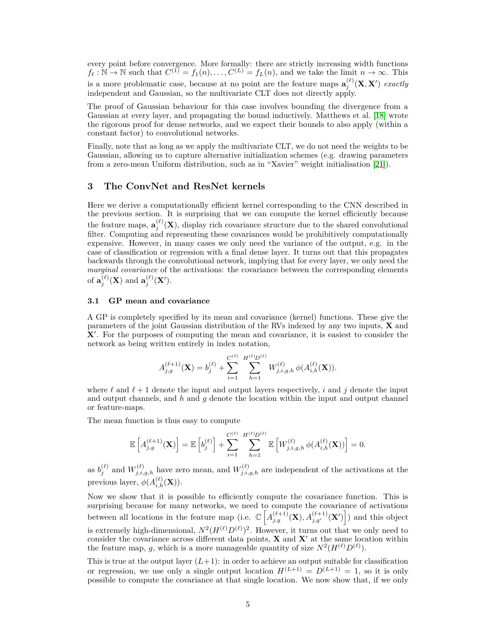every point before convergence. More formally: there are strictly increasing width functions  $f_{\ell}: \mathbb{N} \to \mathbb{N}$  such that  $C^{(1)} = f_1(n), \ldots, C^{(L)} = f_L(n)$ , and we take the limit  $n \to \infty$ . This is a more problematic case, because at no point are the feature maps  $\mathbf{a}_{j}^{(\ell)}(\mathbf{X}, \mathbf{X}')$  *exactly* independent and Gaussian, so the multivariate CLT does not directly apply.

The proof of Gaussian behaviour for this case involves bounding the divergence from a Gaussian at every layer, and propagating the bound inductively. Matthews et al. [\[18\]](#page-10-5) wrote the rigorous proof for dense networks, and we expect their bounds to also apply (within a constant factor) to convolutional networks.

Finally, note that as long as we apply the multivariate CLT, we do not need the weights to be Gaussian, allowing us to capture alternative initialization schemes (e.g. drawing parameters from a zero-mean Uniform distribution, such as in "Xavier" weight initialisation [\[21\]](#page-10-8)).

## **3 The ConvNet and ResNet kernels**

Here we derive a computationally efficient kernel corresponding to the CNN described in the previous section. It is surprising that we can compute the kernel efficiently because the feature maps,  $\mathbf{a}_{j}^{(\ell)}(\mathbf{X})$ , display rich covariance structure due to the shared convolutional filter. Computing and representing these covariances would be prohibitively computationally expensive. However, in many cases we only need the variance of the output, e.g. in the case of classification or regression with a final dense layer. It turns out that this propagates backwards through the convolutional network, implying that for every layer, we only need the *marginal covariance* of the activations: the covariance between the corresponding elements of  $\mathbf{a}_{j}^{(\ell)}(\mathbf{X})$  and  $\mathbf{a}_{j}^{(\ell)}(\mathbf{X}')$ .

#### **3.1 GP mean and covariance**

A GP is completely specified by its mean and covariance (kernel) functions. These give the parameters of the joint Gaussian distribution of the RVs indexed by any two inputs, **X** and X<sup>'</sup>. For the purposes of computing the mean and covariance, it is easiest to consider the network as being written entirely in index notation,

$$
A_{j,g}^{(\ell+1)}(\mathbf{X}) = b_j^{(\ell)} + \sum_{i=1}^{C^{(\ell)}} \sum_{h=1}^{H^{(\ell)}D^{(\ell)}} W_{j,i,g,h}^{(\ell)} \phi(A_{i,h}^{(\ell)}(\mathbf{X})).
$$

where  $\ell$  and  $\ell + 1$  denote the input and output layers respectively, *i* and *j* denote the input and output channels, and *h* and *g* denote the location within the input and output channel or feature-maps.

The mean function is thus easy to compute

$$
\mathbb{E}\left[A_{j,g}^{(\ell+1)}(\mathbf{X})\right] = \mathbb{E}\left[b_j^{(\ell)}\right] + \sum_{i=1}^{C^{(\ell)}} \sum_{h=1}^{H^{(\ell)}D^{(\ell)}} \mathbb{E}\left[W_{j,i,g,h}^{(\ell)}\phi(A_{i,h}^{(\ell)}(\mathbf{X}))\right] = 0.
$$

as  $b_j^{(\ell)}$  and  $W_{j,i,g,h}^{(\ell)}$  have zero mean, and  $W_{j,i,g,h}^{(\ell)}$  are independent of the activations at the previous layer,  $\phi(A_{i,h}^{(\ell)}(\mathbf{X}))$ .

Now we show that it is possible to efficiently compute the covariance function. This is surprising because for many networks, we need to compute the covariance of activations between all locations in the feature map (i.e.  $\mathbb{C}\left[A_{j,g}^{(\ell+1)}(\mathbf{X}), A_{j,g'}^{(\ell+1)}(\mathbf{X}')\right]$ ) and this object is extremely high-dimensional,  $N^2(H^{(\ell)}D^{(\ell)})^2$ . However, it turns out that we only need to consider the covariance across different data points,  $X$  and  $X'$  at the same location within the feature map, g, which is a more manageable quantity of size  $N^2(H^{(\ell)}D^{(\ell)})$ .

This is true at the output layer  $(L+1)$ : in order to achieve an output suitable for classification or regression, we use only a single output location  $H^{(L+1)} = D^{(L+1)} = 1$ , so it is only possible to compute the covariance at that single location. We now show that, if we only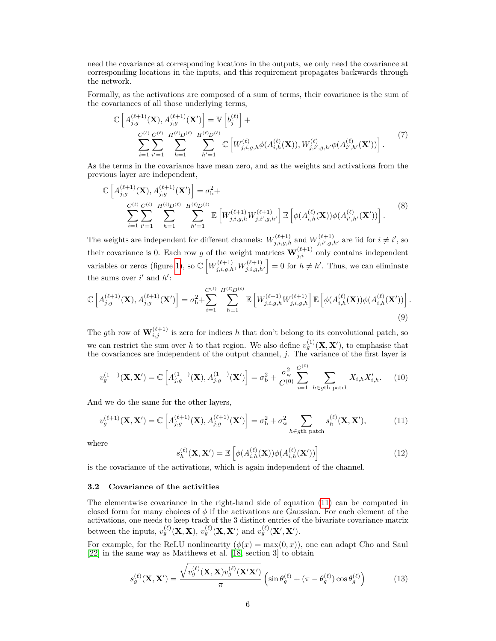need the covariance at corresponding locations in the outputs, we only need the covariance at corresponding locations in the inputs, and this requirement propagates backwards through the network.

Formally, as the activations are composed of a sum of terms, their covariance is the sum of the covariances of all those underlying terms,

$$
\mathbb{C}\left[A_{j,g}^{(\ell+1)}(\mathbf{X}),A_{j,g}^{(\ell+1)}(\mathbf{X}')\right] = \mathbb{V}\left[b_j^{(\ell)}\right] + \frac{C^{(\ell)}C^{(\ell)}(B^{(\ell)} - B^{(\ell)}D^{(\ell)})}{\sum_{i=1}^{C} \sum_{i'=1}^{C} \sum_{h=1}^{H^{(\ell)}D^{(\ell)}} \sum_{h'=1}^{H^{(\ell)}D^{(\ell)}} \mathbb{C}\left[W_{j,i,g,h}^{(\ell)} \phi(A_{i,h}^{(\ell)}(\mathbf{X})), W_{j,i',g,h'}^{(\ell)} \phi(A_{i',h'}^{(\ell)}(\mathbf{X}'))\right].
$$
\n(7)

As the terms in the covariance have mean zero, and as the weights and activations from the previous layer are independent,

$$
\mathbb{C}\left[A_{j,g}^{(\ell+1)}(\mathbf{X}),A_{j,g}^{(\ell+1)}(\mathbf{X}')\right] = \sigma_{\mathbf{b}}^2 + \sum_{\substack{C^{(\ell)} C^{(\ell)} \ H^{(\ell)} D^{(\ell)} \\ i=1}} \sum_{h=1}^{H^{(\ell)} D^{(\ell)}} \sum_{h'=1}^{H^{(\ell)} D^{(\ell)}} \mathbb{E}\left[W_{j,i,g,h}^{(\ell+1)} W_{j,i',g,h'}^{(\ell+1)}\right] \mathbb{E}\left[\phi(A_{i,h}^{(\ell)}(\mathbf{X}))\phi(A_{i',h'}^{(\ell)}(\mathbf{X}'))\right].
$$
\n(8)

The weights are independent for different channels:  $W_{j,i,g,h}^{(\ell+1)}$  and  $W_{j,i',g,h'}^{(\ell+1)}$  are iid for  $i \neq i'$ , so their covariance is 0. Each row *g* of the weight matrices  $\mathbf{W}_{j,i}^{(\ell+1)}$  only contains independent variables or zeros (figure [1\)](#page-2-0), so  $\mathbb{C}\left[W_{j,i,g,h}^{(\ell+1)}, W_{j,i,g,h'}^{(\ell+1)}\right] = 0$  for  $h \neq h'$ . Thus, we can eliminate the sums over  $i'$  and  $h'$ :

$$
\mathbb{C}\left[A_{j,g}^{(\ell+1)}(\mathbf{X}),A_{j,g}^{(\ell+1)}(\mathbf{X}')\right] = \sigma_{\mathbf{b}}^2 + \sum_{i=1}^{C^{(\ell)}} \sum_{h=1}^{H^{(\ell)}D^{(\ell)}} \mathbb{E}\left[W_{j,i,g,h}^{(\ell+1)} W_{j,i,g,h}^{(\ell+1)}\right] \mathbb{E}\left[\phi(A_{i,h}^{(\ell)}(\mathbf{X}))\phi(A_{i,h}^{(\ell)}(\mathbf{X}'))\right].
$$
\n(9)

The *g*th row of  $\mathbf{W}_{i,j}^{(\ell+1)}$  is zero for indices *h* that don't belong to its convolutional patch, so we can restrict the sum over h to that region. We also define  $v_g^{(1)}(\mathbf{X}, \mathbf{X}')$ , to emphasise that the covariances are independent of the output channel, *j*. The variance of the first layer is

$$
v_g^{(1)}(\mathbf{X}, \mathbf{X}') = \mathbb{C}\left[A_{j,g}^{(1)}(\mathbf{X}), A_{j,g}^{(1)}(\mathbf{X}')\right] = \sigma_b^2 + \frac{\sigma_w^2}{C^{(0)}} \sum_{i=1}^{C^{(0)}} \sum_{h \in g^{\text{th patch}}} X_{i,h} X'_{i,h}. \tag{10}
$$

And we do the same for the other layers,

$$
v_g^{(\ell+1)}(\mathbf{X}, \mathbf{X}') = \mathbb{C}\left[A_{j,g}^{(\ell+1)}(\mathbf{X}), A_{j,g}^{(\ell+1)}(\mathbf{X}')\right] = \sigma_{\mathbf{b}}^2 + \sigma_{\mathbf{w}}^2 \sum_{h \in g^{\text{th path}}}\mathbf{s}_h^{(\ell)}(\mathbf{X}, \mathbf{X}'),\tag{11}
$$

where

<span id="page-5-2"></span><span id="page-5-1"></span><span id="page-5-0"></span>
$$
s_h^{(\ell)}(\mathbf{X}, \mathbf{X}') = \mathbb{E}\left[\phi(A_{i,h}^{(\ell)}(\mathbf{X}))\phi(A_{i,h}^{(\ell)}(\mathbf{X}'))\right]
$$
(12)

is the covariance of the activations, which is again independent of the channel.

#### **3.2 Covariance of the activities**

The elementwise covariance in the right-hand side of equation [\(11\)](#page-5-0) can be computed in closed form for many choices of *φ* if the activations are Gaussian. For each element of the activations, one needs to keep track of the 3 distinct entries of the bivariate covariance matrix between the inputs,  $v_g^{(\ell)}(\mathbf{X}, \mathbf{X})$ ,  $v_g^{(\ell)}(\mathbf{X}, \mathbf{X}')$  and  $v_g^{(\ell)}(\mathbf{X}', \mathbf{X}')$ .

For example, for the ReLU nonlinearity  $(\phi(x) = \max(0, x))$ , one can adapt Cho and Saul [\[22\]](#page-10-9) in the same way as Matthews et al. [\[18,](#page-10-5) section 3] to obtain

$$
s_g^{(\ell)}(\mathbf{X}, \mathbf{X}') = \frac{\sqrt{v_g^{(\ell)}(\mathbf{X}, \mathbf{X})v_g^{(\ell)}(\mathbf{X}'\mathbf{X}')}}{\pi} \left(\sin \theta_g^{(\ell)} + (\pi - \theta_g^{(\ell)})\cos \theta_g^{(\ell)}\right) \tag{13}
$$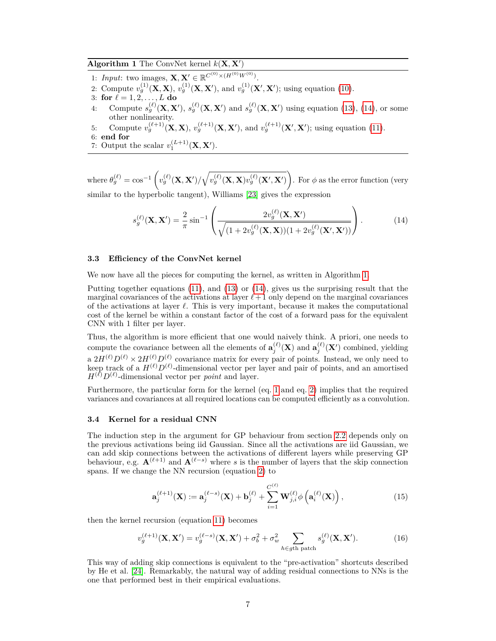<span id="page-6-1"></span>**Algorithm 1** The ConvNet kernel  $k(\mathbf{X}, \mathbf{X}')$ 

- 1: *Input*: two images,  $\mathbf{X}, \mathbf{X}' \in \mathbb{R}^{C^{(0)} \times (H^{(0)}W^{(0)})}$ .
- 2: Compute  $v_g^{(1)}(X, X)$ ,  $v_g^{(1)}(X, X')$ , and  $v_g^{(1)}(X', X')$ ; using equation [\(10\)](#page-5-1).
- 3: **for**  $\ell = 1, 2, ..., L$  **do**
- 4: Compute  $s_g^{(\ell)}(\mathbf{X}, \mathbf{X}')$ ,  $s_g^{(\ell)}(\mathbf{X}, \mathbf{X}')$  and  $s_g^{(\ell)}(\mathbf{X}, \mathbf{X}')$  using equation [\(13\)](#page-5-2), [\(14\)](#page-6-0), or some other nonlinearity.
- 5: Compute  $v_g^{(\ell+1)}(\mathbf{X}, \mathbf{X})$ ,  $v_g^{(\ell+1)}(\mathbf{X}, \mathbf{X}')$ , and  $v_g^{(\ell+1)}(\mathbf{X}', \mathbf{X}')$ ; using equation [\(11\)](#page-5-0).

6: **end for**

7: Output the scalar  $v_1^{(L+1)}(\mathbf{X}, \mathbf{X}')$ .

where  $\theta_g^{(\ell)} = \cos^{-1}\left(v_g^{(\ell)}(\mathbf{X}, \mathbf{X}')/\sqrt{v_g^{(\ell)}(\mathbf{X}, \mathbf{X})v_g^{(\ell)}(\mathbf{X}', \mathbf{X}')}\right)$ . For  $\phi$  as the error function (very similar to the hyperbolic tangent), Williams [\[23\]](#page-10-10) gives the expression

<span id="page-6-0"></span>
$$
s_g^{(\ell)}(\mathbf{X}, \mathbf{X}') = \frac{2}{\pi} \sin^{-1} \left( \frac{2v_g^{(\ell)}(\mathbf{X}, \mathbf{X}')}{\sqrt{(1 + 2v_g^{(\ell)}(\mathbf{X}, \mathbf{X}))(1 + 2v_g^{(\ell)}(\mathbf{X}', \mathbf{X}'))}} \right).
$$
(14)

## <span id="page-6-2"></span>**3.3 Efficiency of the ConvNet kernel**

We now have all the pieces for computing the kernel, as written in Algorithm [1.](#page-6-1)

Putting together equations [\(11\)](#page-5-0), and [\(13\)](#page-5-2) or [\(14\)](#page-6-0), gives us the surprising result that the marginal covariances of the activations at layer  $\ell + 1$  only depend on the marginal covariances of the activations at layer  $\ell$ . This is very important, because it makes the computational cost of the kernel be within a constant factor of the cost of a forward pass for the equivalent CNN with 1 filter per layer.

Thus, the algorithm is more efficient that one would naively think. A priori, one needs to compute the covariance between all the elements of  $\mathbf{a}_{j}^{(\ell)}(\mathbf{X})$  and  $\mathbf{a}_{j}^{(\ell)}(\mathbf{X}')$  combined, yielding a  $2H^{(\ell)}D^{(\ell)} \times 2H^{(\ell)}D^{(\ell)}$  covariance matrix for every pair of points. Instead, we only need to keep track of a  $H^{(\ell)}D^{(\ell)}$ -dimensional vector per layer and pair of points, and an amortised  $H^{(\ell)}D^{(\ell)}$ -dimensional vector per *point* and layer.

Furthermore, the particular form for the kernel (eq. [1](#page-1-0) and eq. [2\)](#page-1-1) implies that the required variances and covariances at all required locations can be computed efficiently as a convolution.

#### **3.4 Kernel for a residual CNN**

The induction step in the argument for GP behaviour from section [2.2](#page-2-1) depends only on the previous activations being iid Gaussian. Since all the activations are iid Gaussian, we can add skip connections between the activations of different layers while preserving GP behaviour, e.g.  $\mathbf{A}^{(\ell+1)}$  and  $\mathbf{A}^{(\ell-s)}$  where *s* is the number of layers that the skip connection spans. If we change the NN recursion (equation [2\)](#page-1-1) to

$$
\mathbf{a}_{j}^{(\ell+1)}(\mathbf{X}) := \mathbf{a}_{j}^{(\ell-s)}(\mathbf{X}) + \mathbf{b}_{j}^{(\ell)} + \sum_{i=1}^{C^{(\ell)}} \mathbf{W}_{j,i}^{(\ell)} \phi\left(\mathbf{a}_{i}^{(\ell)}(\mathbf{X})\right),
$$
(15)

then the kernel recursion (equation [11\)](#page-5-0) becomes

$$
v_g^{(\ell+1)}(\mathbf{X}, \mathbf{X}') = v_g^{(\ell-s)}(\mathbf{X}, \mathbf{X}') + \sigma_b^2 + \sigma_w^2 \sum_{h \in g^{\text{th path}} \text{ patch}} s_g^{(\ell)}(\mathbf{X}, \mathbf{X}'). \tag{16}
$$

This way of adding skip connections is equivalent to the "pre-activation" shortcuts described by He et al. [\[24\]](#page-10-11). Remarkably, the natural way of adding residual connections to NNs is the one that performed best in their empirical evaluations.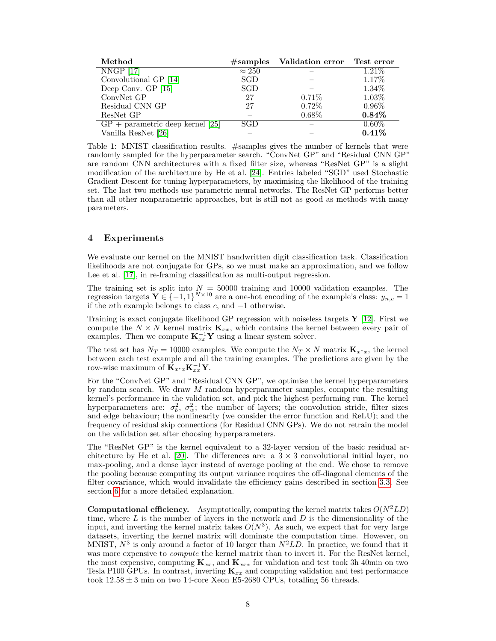| Method                             |               | #samples Validation error Test error |          |
|------------------------------------|---------------|--------------------------------------|----------|
| NNGP [17]                          | $\approx 250$ |                                      | $1.21\%$ |
| Convolutional GP [14]              | SGD           |                                      | 1.17%    |
| Deep Conv. $GP$ [15]               | SGD           |                                      | 1.34%    |
| ConvNet GP                         | 27            | 0.71%                                | 1.03%    |
| Residual CNN GP                    | 27            | $0.72\%$                             | $0.96\%$ |
| ResNet GP                          |               | 0.68%                                | 0.84%    |
| $GP + parametric deep Kernel [25]$ | SGD           |                                      | $0.60\%$ |
| Vanilla ResNet [26]                |               |                                      | 0.41%    |

<span id="page-7-0"></span>Table 1: MNIST classification results. #samples gives the number of kernels that were randomly sampled for the hyperparameter search. "ConvNet GP" and "Residual CNN GP" are random CNN architectures with a fixed filter size, whereas "ResNet GP" is a slight modification of the architecture by He et al. [\[24\]](#page-10-11). Entries labeled "SGD" used Stochastic Gradient Descent for tuning hyperparameters, by maximising the likelihood of the training set. The last two methods use parametric neural networks. The ResNet GP performs better than all other nonparametric approaches, but is still not as good as methods with many parameters.

# **4 Experiments**

We evaluate our kernel on the MNIST handwritten digit classification task. Classification likelihoods are not conjugate for GPs, so we must make an approximation, and we follow Lee et al. [\[17\]](#page-10-4), in re-framing classification as multi-output regression.

The training set is split into  $N = 50000$  training and 10000 validation examples. The regression targets  $\mathbf{Y} \in \{-1, 1\}^{N \times 10}$  are a one-hot encoding of the example's class:  $y_{n,c} = 1$ if the *n*th example belongs to class *c*, and −1 otherwise.

Training is exact conjugate likelihood GP regression with noiseless targets **Y** [\[12\]](#page-9-11). First we compute the  $N \times N$  kernel matrix  $\mathbf{K}_{xx}$ , which contains the kernel between every pair of examples. Then we compute  $\mathbf{K}_{xx}^{-1}\mathbf{Y}$  using a linear system solver.

The test set has  $N_T = 10000$  examples. We compute the  $N_T \times N$  matrix  $\mathbf{K}_{x^*x}$ , the kernel between each test example and all the training examples. The predictions are given by the row-wise maximum of  $\mathbf{K}_{x^*x} \mathbf{K}_{xx}^{-1} \mathbf{Y}$ .

For the "ConvNet GP" and "Residual CNN GP", we optimise the kernel hyperparameters by random search. We draw *M* random hyperparameter samples, compute the resulting kernel's performance in the validation set, and pick the highest performing run. The kernel hyperparameters are:  $\sigma_b^2$ ,  $\sigma_w^2$ ; the number of layers; the convolution stride, filter sizes and edge behaviour; the nonlinearity (we consider the error function and ReLU); and the frequency of residual skip connections (for Residual CNN GPs). We do not retrain the model on the validation set after choosing hyperparameters.

The "ResNet GP" is the kernel equivalent to a 32-layer version of the basic residual ar-chitecture by He et al. [\[20\]](#page-10-7). The differences are: a  $3 \times 3$  convolutional initial layer, no max-pooling, and a dense layer instead of average pooling at the end. We chose to remove the pooling because computing its output variance requires the off-diagonal elements of the filter covariance, which would invalidate the efficiency gains described in section [3.3.](#page-6-2) See section [6](#page-8-0) for a more detailed explanation.

**Computational efficiency.** Asymptotically, computing the kernel matrix takes  $O(N^2LD)$ time, where *L* is the number of layers in the network and *D* is the dimensionality of the input, and inverting the kernel matrix takes  $O(N^3)$ . As such, we expect that for very large datasets, inverting the kernel matrix will dominate the computation time. However, on MNIST,  $N^3$  is only around a factor of 10 larger than  $N^2LD$ . In practice, we found that it was more expensive to *compute* the kernel matrix than to invert it. For the ResNet kernel, the most expensive, computing  $\mathbf{K}_{xx}$ , and  $\mathbf{K}_{xx*}$  for validation and test took 3h 40min on two Tesla P100 GPUs. In contrast, inverting **K***xx* and computing validation and test performance took  $12.58 \pm 3$  min on two 14-core Xeon E5-2680 CPUs, totalling 56 threads.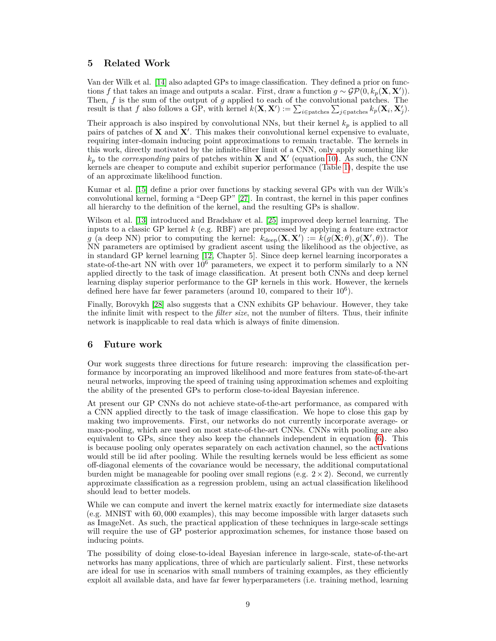# **5 Related Work**

Van der Wilk et al. [\[14\]](#page-10-1) also adapted GPs to image classification. They defined a prior on functions *f* that takes an image and outputs a scalar. First, draw a function  $g \sim \mathcal{GP}(0, k_p(\mathbf{X}, \mathbf{X}'))$ . Then, *f* is the sum of the output of *g* applied to each of the convolutional patches. The result is that *f* also follows a GP, with kernel  $k(\mathbf{X}, \mathbf{X}') := \sum_{i \in \text{patches}} \sum_{j \in \text{patches}} k_p(\mathbf{X}_i, \mathbf{X}'_j)$ .

Their approach is also inspired by convolutional NNs, but their kernel  $k_p$  is applied to all pairs of patches of  $X$  and  $X'$ . This makes their convolutional kernel expensive to evaluate, requiring inter-domain inducing point approximations to remain tractable. The kernels in this work, directly motivated by the infinite-filter limit of a CNN, only apply something like  $k_p$  to the *corresponding* pairs of patches within **X** and **X**<sup> $\prime$ </sup> (equation [10\)](#page-5-1). As such, the CNN kernels are cheaper to compute and exhibit superior performance (Table [1\)](#page-7-0), despite the use of an approximate likelihood function.

Kumar et al. [\[15\]](#page-10-2) define a prior over functions by stacking several GPs with van der Wilk's convolutional kernel, forming a "Deep GP" [\[27\]](#page-10-14). In contrast, the kernel in this paper confines all hierarchy to the definition of the kernel, and the resulting GPs is shallow.

Wilson et al. [\[13\]](#page-10-0) introduced and Bradshaw et al. [\[25\]](#page-10-12) improved deep kernel learning. The inputs to a classic GP kernel *k* (e.g. RBF) are preprocessed by applying a feature extractor *g* (a deep NN) prior to computing the kernel:  $k_{\text{deep}}(\mathbf{X}, \mathbf{X}') := k(g(\mathbf{X}; \theta), g(\mathbf{X}', \theta))$ . The NN parameters are optimised by gradient ascent using the likelihood as the objective, as in standard GP kernel learning [\[12,](#page-9-11) Chapter 5]. Since deep kernel learning incorporates a state-of-the-art NN with over  $10^6$  parameters, we expect it to perform similarly to a NN applied directly to the task of image classification. At present both CNNs and deep kernel learning display superior performance to the GP kernels in this work. However, the kernels defined here have far fewer parameters (around 10, compared to their  $10^6$ ).

Finally, Borovykh [\[28\]](#page-10-15) also suggests that a CNN exhibits GP behaviour. However, they take the infinite limit with respect to the *filter size*, not the number of filters. Thus, their infinite network is inapplicable to real data which is always of finite dimension.

# <span id="page-8-0"></span>**6 Future work**

Our work suggests three directions for future research: improving the classification performance by incorporating an improved likelihood and more features from state-of-the-art neural networks, improving the speed of training using approximation schemes and exploiting the ability of the presented GPs to perform close-to-ideal Bayesian inference.

At present our GP CNNs do not achieve state-of-the-art performance, as compared with a CNN applied directly to the task of image classification. We hope to close this gap by making two improvements. First, our networks do not currently incorporate average- or max-pooling, which are used on most state-of-the-art CNNs. CNNs with pooling are also equivalent to GPs, since they also keep the channels independent in equation [\(6\)](#page-3-1). This is because pooling only operates separately on each activation channel, so the activations would still be iid after pooling. While the resulting kernels would be less efficient as some off-diagonal elements of the covariance would be necessary, the additional computational burden might be manageable for pooling over small regions (e.g.  $2 \times 2$ ). Second, we currently approximate classification as a regression problem, using an actual classification likelihood should lead to better models.

While we can compute and invert the kernel matrix exactly for intermediate size datasets (e.g. MNIST with 60*,* 000 examples), this may become impossible with larger datasets such as ImageNet. As such, the practical application of these techniques in large-scale settings will require the use of GP posterior approximation schemes, for instance those based on inducing points.

The possibility of doing close-to-ideal Bayesian inference in large-scale, state-of-the-art networks has many applications, three of which are particularly salient. First, these networks are ideal for use in scenarios with small numbers of training examples, as they efficiently exploit all available data, and have far fewer hyperparameters (i.e. training method, learning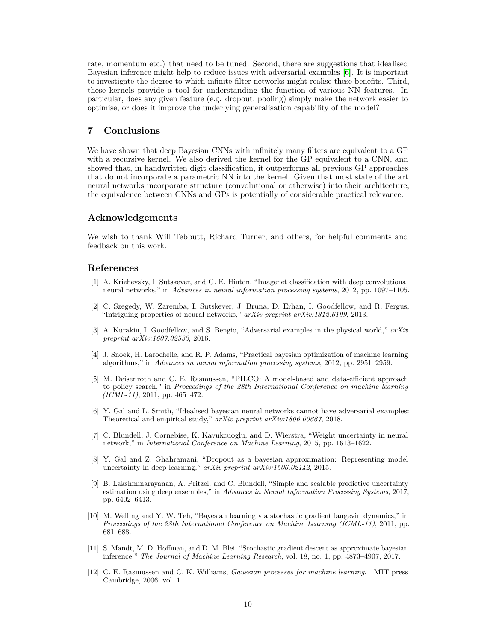rate, momentum etc.) that need to be tuned. Second, there are suggestions that idealised Bayesian inference might help to reduce issues with adversarial examples [\[6\]](#page-9-5). It is important to investigate the degree to which infinite-filter networks might realise these benefits. Third, these kernels provide a tool for understanding the function of various NN features. In particular, does any given feature (e.g. dropout, pooling) simply make the network easier to optimise, or does it improve the underlying generalisation capability of the model?

# **7 Conclusions**

We have shown that deep Bayesian CNNs with infinitely many filters are equivalent to a GP with a recursive kernel. We also derived the kernel for the GP equivalent to a CNN, and showed that, in handwritten digit classification, it outperforms all previous GP approaches that do not incorporate a parametric NN into the kernel. Given that most state of the art neural networks incorporate structure (convolutional or otherwise) into their architecture, the equivalence between CNNs and GPs is potentially of considerable practical relevance.

## **Acknowledgements**

We wish to thank Will Tebbutt, Richard Turner, and others, for helpful comments and feedback on this work.

## **References**

- <span id="page-9-0"></span>[1] A. Krizhevsky, I. Sutskever, and G. E. Hinton, "Imagenet classification with deep convolutional neural networks," in *Advances in neural information processing systems*, 2012, pp. 1097–1105.
- <span id="page-9-1"></span>[2] C. Szegedy, W. Zaremba, I. Sutskever, J. Bruna, D. Erhan, I. Goodfellow, and R. Fergus, "Intriguing properties of neural networks," *arXiv preprint arXiv:1312.6199*, 2013.
- <span id="page-9-2"></span>[3] A. Kurakin, I. Goodfellow, and S. Bengio, "Adversarial examples in the physical world," *arXiv preprint arXiv:1607.02533*, 2016.
- <span id="page-9-3"></span>[4] J. Snoek, H. Larochelle, and R. P. Adams, "Practical bayesian optimization of machine learning algorithms," in *Advances in neural information processing systems*, 2012, pp. 2951–2959.
- <span id="page-9-4"></span>[5] M. Deisenroth and C. E. Rasmussen, "PILCO: A model-based and data-efficient approach to policy search," in *Proceedings of the 28th International Conference on machine learning (ICML-11)*, 2011, pp. 465–472.
- <span id="page-9-5"></span>[6] Y. Gal and L. Smith, "Idealised bayesian neural networks cannot have adversarial examples: Theoretical and empirical study," *arXiv preprint arXiv:1806.00667*, 2018.
- <span id="page-9-6"></span>[7] C. Blundell, J. Cornebise, K. Kavukcuoglu, and D. Wierstra, "Weight uncertainty in neural network," in *International Conference on Machine Learning*, 2015, pp. 1613–1622.
- <span id="page-9-7"></span>[8] Y. Gal and Z. Ghahramani, "Dropout as a bayesian approximation: Representing model uncertainty in deep learning," *arXiv preprint arXiv:1506.02142*, 2015.
- <span id="page-9-8"></span>[9] B. Lakshminarayanan, A. Pritzel, and C. Blundell, "Simple and scalable predictive uncertainty estimation using deep ensembles," in *Advances in Neural Information Processing Systems*, 2017, pp. 6402–6413.
- <span id="page-9-9"></span>[10] M. Welling and Y. W. Teh, "Bayesian learning via stochastic gradient langevin dynamics," in *Proceedings of the 28th International Conference on Machine Learning (ICML-11)*, 2011, pp. 681–688.
- <span id="page-9-10"></span>[11] S. Mandt, M. D. Hoffman, and D. M. Blei, "Stochastic gradient descent as approximate bayesian inference," *The Journal of Machine Learning Research*, vol. 18, no. 1, pp. 4873–4907, 2017.
- <span id="page-9-11"></span>[12] C. E. Rasmussen and C. K. Williams, *Gaussian processes for machine learning*. MIT press Cambridge, 2006, vol. 1.